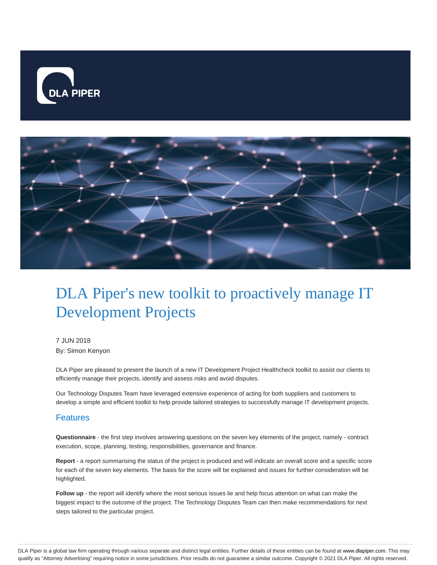



# DLA Piper's new toolkit to proactively manage IT Development Projects

7 JUN 2018 By: Simon Kenyon

DLA Piper are pleased to present the launch of a new IT Development Project Healthcheck toolkit to assist our clients to efficiently manage their projects, identify and assess risks and avoid disputes.

Our Technology Disputes Team have leveraged extensive experience of acting for both suppliers and customers to develop a simple and efficient toolkit to help provide tailored strategies to successfully manage IT development projects.

#### Features

**Questionnaire** - the first step involves answering questions on the seven key elements of the project, namely - contract execution, scope, planning, testing, responsibilities, governance and finance.

**Report** - a report summarising the status of the project is produced and will indicate an overall score and a specific score for each of the seven key elements. The basis for the score will be explained and issues for further consideration will be highlighted.

**Follow up** - the report will identify where the most serious issues lie and help focus attention on what can make the biggest impact to the outcome of the project. The Technology Disputes Team can then make recommendations for next steps tailored to the particular project.

DLA Piper is a global law firm operating through various separate and distinct legal entities. Further details of these entities can be found at www.dlapiper.com. This may qualify as "Attorney Advertising" requiring notice in some jurisdictions. Prior results do not guarantee a similar outcome. Copyright © 2021 DLA Piper. All rights reserved.